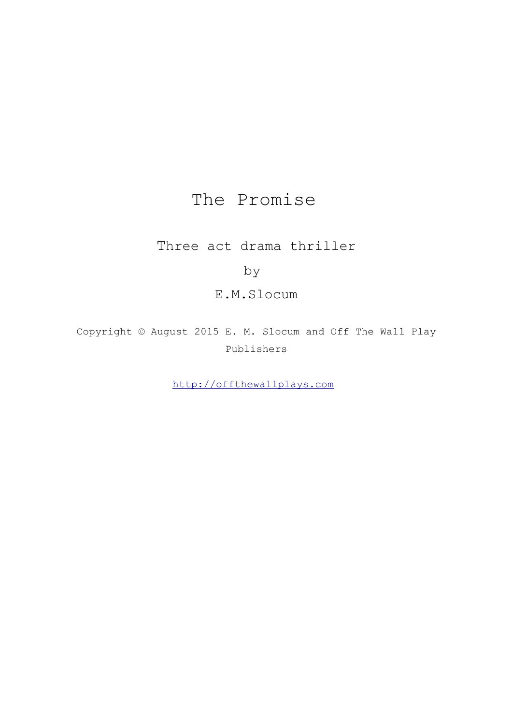# The Promise

# Three act drama thriller

# by

# E.M.Slocum

Copyright © August 2015 E. M. Slocum and Off The Wall Play Publishers

[http://offthewallplays.com](http://offthewallplays.com/)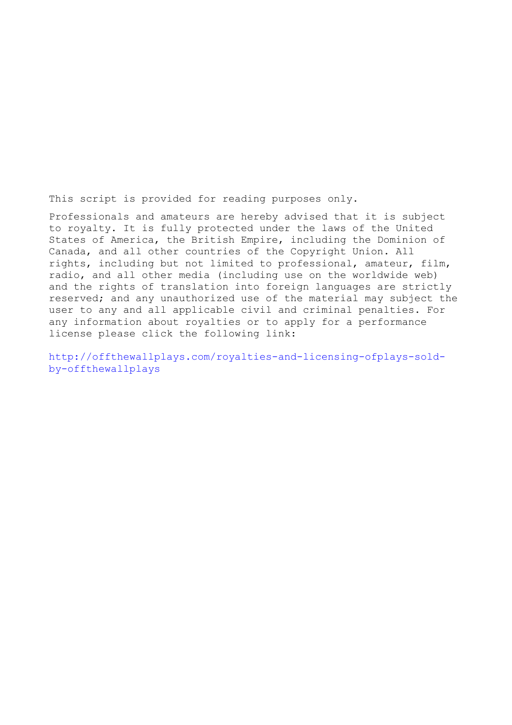This script is provided for reading purposes only.

Professionals and amateurs are hereby advised that it is subject to royalty. It is fully protected under the laws of the United States of America, the British Empire, including the Dominion of Canada, and all other countries of the Copyright Union. All rights, including but not limited to professional, amateur, film, radio, and all other media (including use on the worldwide web) and the rights of translation into foreign languages are strictly reserved; and any unauthorized use of the material may subject the user to any and all applicable civil and criminal penalties. For any information about royalties or to apply for a performance license please click the following link:

http://offthewallplays.com/royalties-and-licensing-ofplays-soldby-offthewallplays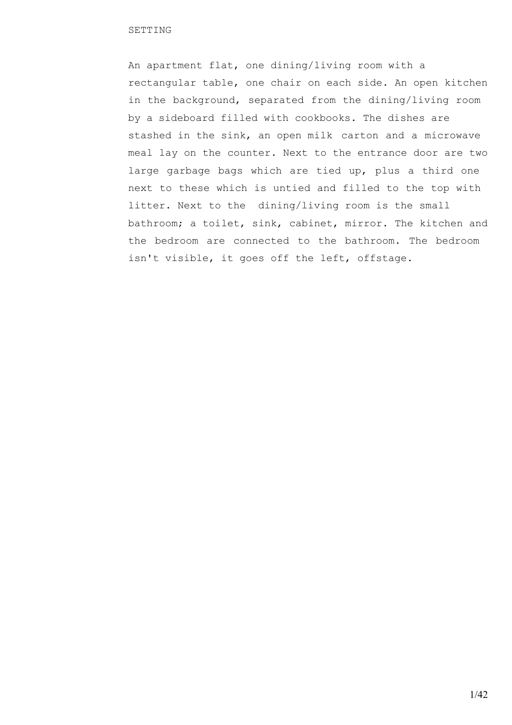An apartment flat, one dining/living room with a rectangular table, one chair on each side. An open kitchen in the background, separated from the dining/living room by a sideboard filled with cookbooks. The dishes are stashed in the sink, an open milk carton and a microwave meal lay on the counter. Next to the entrance door are two large garbage bags which are tied up, plus a third one next to these which is untied and filled to the top with litter. Next to the dining/living room is the small bathroom; a toilet, sink, cabinet, mirror. The kitchen and the bedroom are connected to the bathroom. The bedroom isn't visible, it goes off the left, offstage.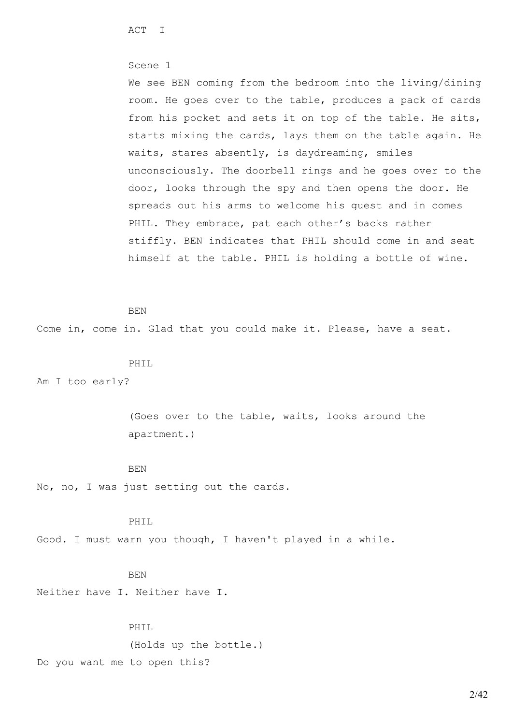ACT I

#### Scene 1

We see BEN coming from the bedroom into the living/dining room. He goes over to the table, produces a pack of cards from his pocket and sets it on top of the table. He sits, starts mixing the cards, lays them on the table again. He waits, stares absently, is daydreaming, smiles unconsciously. The doorbell rings and he goes over to the door, looks through the spy and then opens the door. He spreads out his arms to welcome his guest and in comes PHIL. They embrace, pat each other's backs rather stiffly. BEN indicates that PHIL should come in and seat himself at the table. PHIL is holding a bottle of wine.

BEN

Come in, come in. Glad that you could make it. Please, have a seat.

### PHIL

Am I too early?

(Goes over to the table, waits, looks around the apartment.)

#### BEN

No, no, I was just setting out the cards.

PHIL

Good. I must warn you though, I haven't played in a while.

#### BEN

Neither have I. Neither have I.

### PHIL

(Holds up the bottle.) Do you want me to open this?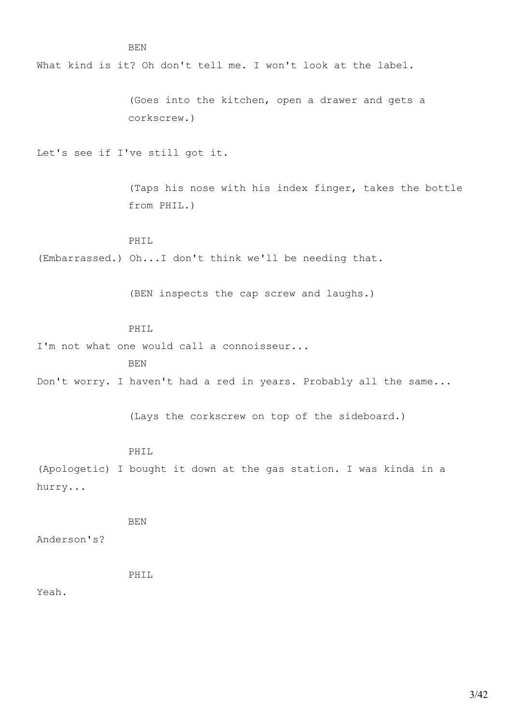BEN What kind is it? Oh don't tell me. I won't look at the label. (Goes into the kitchen, open a drawer and gets a corkscrew.) Let's see if I've still got it. (Taps his nose with his index finger, takes the bottle from PHIL.) PHIL (Embarrassed.) Oh...I don't think we'll be needing that. (BEN inspects the cap screw and laughs.) PHIL I'm not what one would call a connoisseur... BEN Don't worry. I haven't had a red in years. Probably all the same... (Lays the corkscrew on top of the sideboard.) PHIL (Apologetic) I bought it down at the gas station. I was kinda in a hurry... BEN Anderson's? PHIL Yeah.

3/42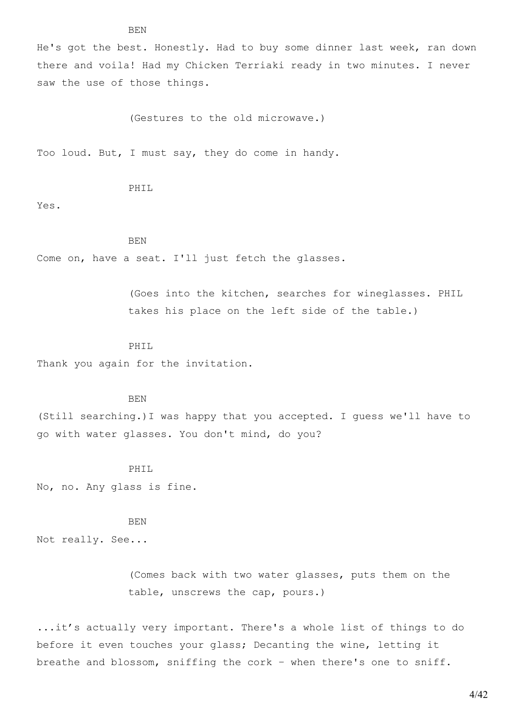He's got the best. Honestly. Had to buy some dinner last week, ran down there and voila! Had my Chicken Terriaki ready in two minutes. I never saw the use of those things.

(Gestures to the old microwave.)

Too loud. But, I must say, they do come in handy.

PHIL

Yes.

# BEN

Come on, have a seat. I'll just fetch the glasses.

(Goes into the kitchen, searches for wineglasses. PHIL takes his place on the left side of the table.)

PHIL

Thank you again for the invitation.

BEN

(Still searching.)I was happy that you accepted. I guess we'll have to go with water glasses. You don't mind, do you?

#### PHIL

No, no. Any glass is fine.

BEN

Not really. See...

(Comes back with two water glasses, puts them on the table, unscrews the cap, pours.)

...it's actually very important. There's a whole list of things to do before it even touches your glass; Decanting the wine, letting it breathe and blossom, sniffing the cork – when there's one to sniff.

BEN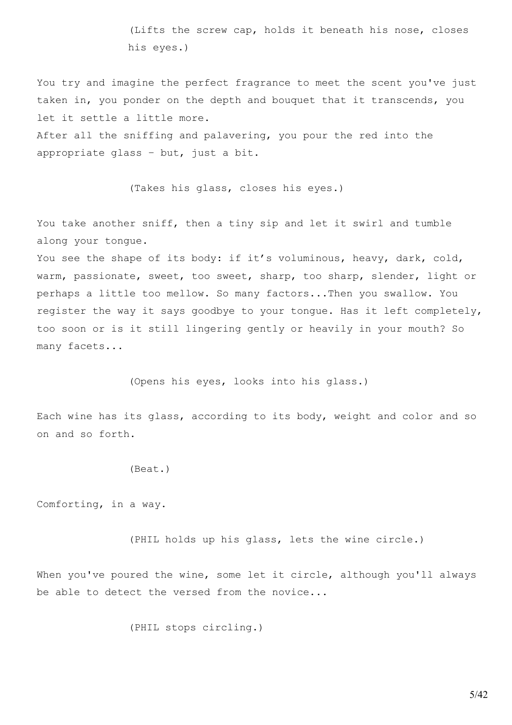(Lifts the screw cap, holds it beneath his nose, closes his eyes.)

You try and imagine the perfect fragrance to meet the scent you've just taken in, you ponder on the depth and bouquet that it transcends, you let it settle a little more.

After all the sniffing and palavering, you pour the red into the appropriate glass – but, just a bit.

(Takes his glass, closes his eyes.)

You take another sniff, then a tiny sip and let it swirl and tumble along your tongue.

You see the shape of its body: if it's voluminous, heavy, dark, cold, warm, passionate, sweet, too sweet, sharp, too sharp, slender, light or perhaps a little too mellow. So many factors...Then you swallow. You register the way it says goodbye to your tongue. Has it left completely, too soon or is it still lingering gently or heavily in your mouth? So many facets...

(Opens his eyes, looks into his glass.)

Each wine has its glass, according to its body, weight and color and so on and so forth.

(Beat.)

Comforting, in a way.

(PHIL holds up his glass, lets the wine circle.)

When you've poured the wine, some let it circle, although you'll always be able to detect the versed from the novice...

(PHIL stops circling.)

5/42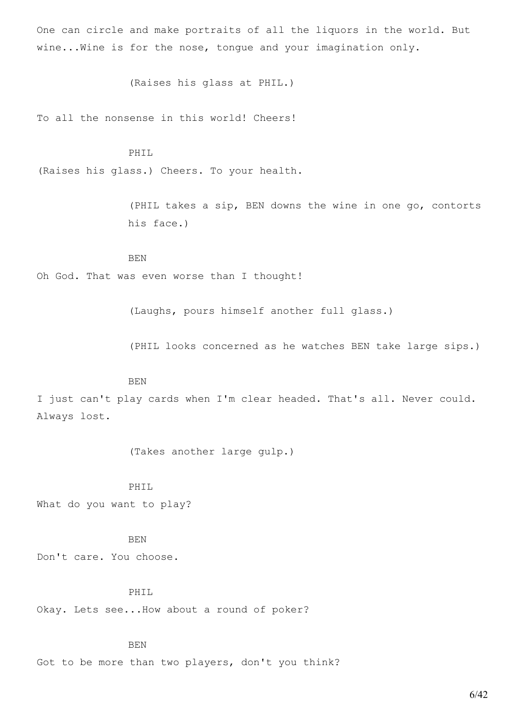One can circle and make portraits of all the liquors in the world. But wine...Wine is for the nose, tongue and your imagination only.

(Raises his glass at PHIL.)

To all the nonsense in this world! Cheers!

# PHIL

(Raises his glass.) Cheers. To your health.

(PHIL takes a sip, BEN downs the wine in one go, contorts his face.)

#### BEN

Oh God. That was even worse than I thought!

(Laughs, pours himself another full glass.)

(PHIL looks concerned as he watches BEN take large sips.)

### BEN

I just can't play cards when I'm clear headed. That's all. Never could. Always lost.

(Takes another large gulp.)

# PHIL

What do you want to play?

BEN Don't care. You choose.

# PHIL

Okay. Lets see...How about a round of poker?

### BEN

Got to be more than two players, don't you think?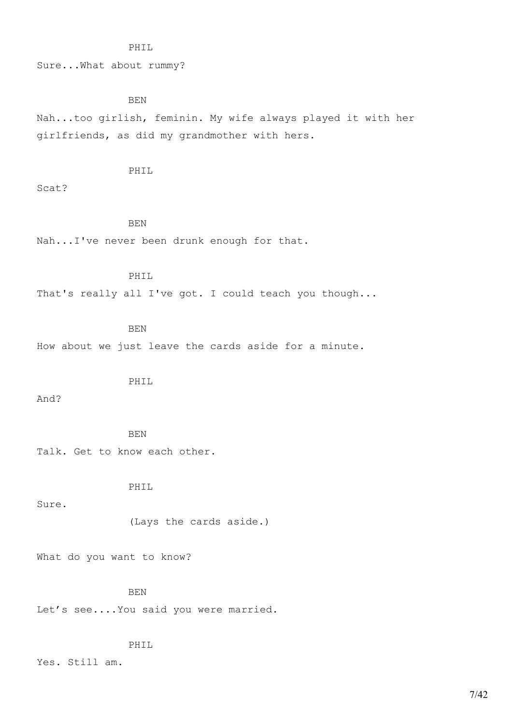### PHIL

Sure...What about rummy?

BEN

Nah...too girlish, feminin. My wife always played it with her girlfriends, as did my grandmother with hers.

#### PHIL

Scat?

BEN

Nah...I've never been drunk enough for that.

### PHIL

That's really all I've got. I could teach you though...

#### BEN

How about we just leave the cards aside for a minute.

### PHIL

And?

# BEN Talk. Get to know each other.

PHIL

Sure.

(Lays the cards aside.)

What do you want to know?

BEN

Let's see....You said you were married.

# PHIL

Yes. Still am.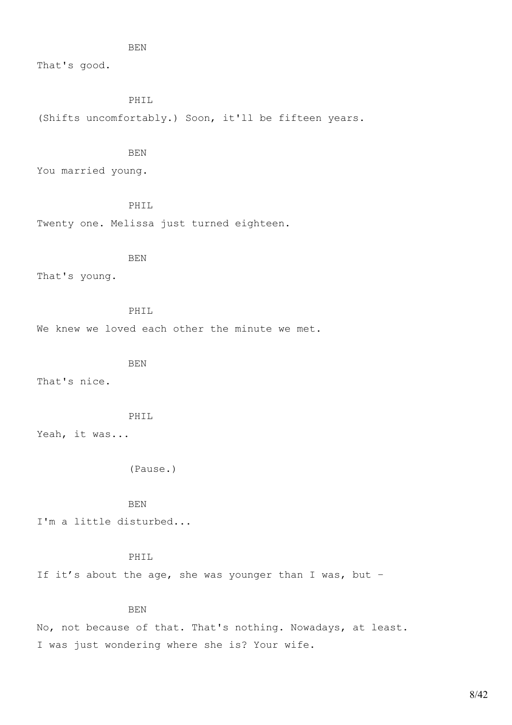That's good.

### PHIL

(Shifts uncomfortably.) Soon, it'll be fifteen years.

### BEN

You married young.

### PHIL

Twenty one. Melissa just turned eighteen.

### BEN

That's young.

#### PHIL

We knew we loved each other the minute we met.

### BEN

That's nice.

#### PHIL

Yeah, it was...

(Pause.)

# BEN

I'm a little disturbed...

### PHIL

If it's about the age, she was younger than I was, but –

## BEN

No, not because of that. That's nothing. Nowadays, at least. I was just wondering where she is? Your wife.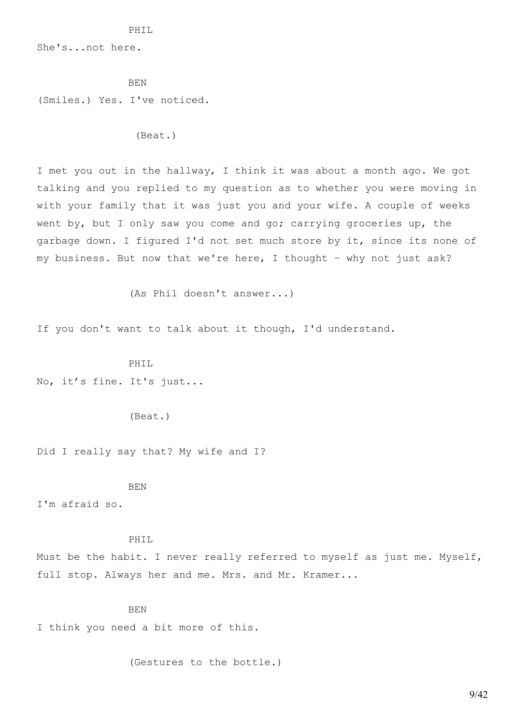#### PHIL

She's...not here.

BEN (Smiles.) Yes. I've noticed.

(Beat.)

I met you out in the hallway, I think it was about a month ago. We got talking and you replied to my question as to whether you were moving in with your family that it was just you and your wife. A couple of weeks went by, but I only saw you come and go; carrying groceries up, the garbage down. I figured I'd not set much store by it, since its none of my business. But now that we're here, I thought – why not just ask?

(As Phil doesn't answer...)

If you don't want to talk about it though, I'd understand.

PHIL No, it's fine. It's just...

(Beat.)

Did I really say that? My wife and I?

### BEN

I'm afraid so.

#### PHIL

Must be the habit. I never really referred to myself as just me. Myself, full stop. Always her and me. Mrs. and Mr. Kramer...

### BEN

I think you need a bit more of this.

(Gestures to the bottle.)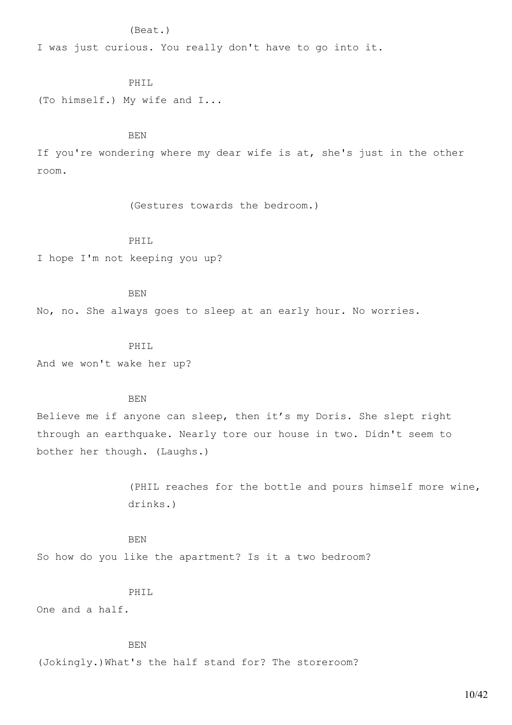### (Beat.)

I was just curious. You really don't have to go into it.

### PHIL

(To himself.) My wife and I...

#### BEN

If you're wondering where my dear wife is at, she's just in the other room.

(Gestures towards the bedroom.)

# PHIL

I hope I'm not keeping you up?

### **BEN**

No, no. She always goes to sleep at an early hour. No worries.

## PHTT.

And we won't wake her up?

### BEN

Believe me if anyone can sleep, then it's my Doris. She slept right through an earthquake. Nearly tore our house in two. Didn't seem to bother her though. (Laughs.)

> (PHIL reaches for the bottle and pours himself more wine, drinks.)

BEN So how do you like the apartment? Is it a two bedroom?

# PHIL

One and a half.

#### BEN

(Jokingly.)What's the half stand for? The storeroom?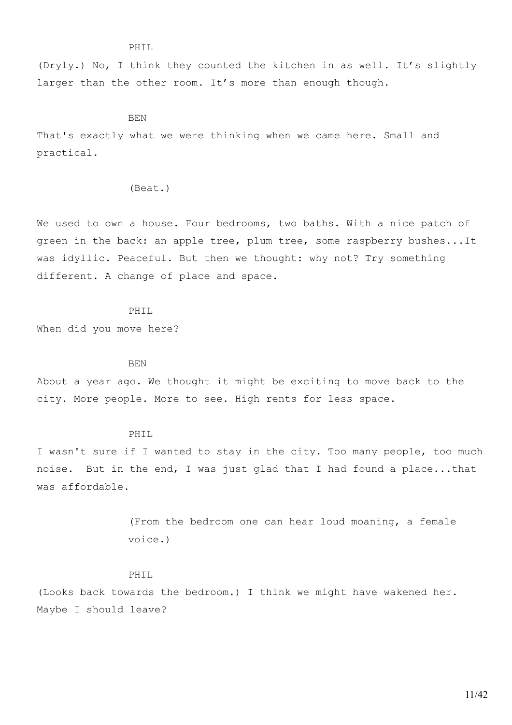#### PHIL

(Dryly.) No, I think they counted the kitchen in as well. It's slightly larger than the other room. It's more than enough though.

#### BEN

That's exactly what we were thinking when we came here. Small and practical.

#### (Beat.)

We used to own a house. Four bedrooms, two baths. With a nice patch of green in the back: an apple tree, plum tree, some raspberry bushes... It was idyllic. Peaceful. But then we thought: why not? Try something different. A change of place and space.

#### PHIL

When did you move here?

### BEN

About a year ago. We thought it might be exciting to move back to the city. More people. More to see. High rents for less space.

# PHIL

I wasn't sure if I wanted to stay in the city. Too many people, too much noise. But in the end, I was just glad that I had found a place...that was affordable.

> (From the bedroom one can hear loud moaning, a female voice.)

#### PHIL

(Looks back towards the bedroom.) I think we might have wakened her. Maybe I should leave?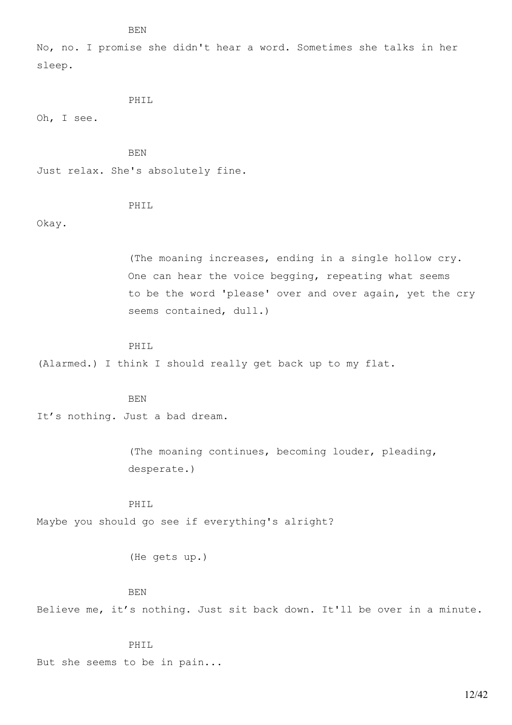No, no. I promise she didn't hear a word. Sometimes she talks in her sleep.

PHIL

Oh, I see.

BEN

Just relax. She's absolutely fine.

PHIL

Okay.

(The moaning increases, ending in a single hollow cry. One can hear the voice begging, repeating what seems to be the word 'please' over and over again, yet the cry seems contained, dull.)

PHIL

(Alarmed.) I think I should really get back up to my flat.

BEN

It's nothing. Just a bad dream.

(The moaning continues, becoming louder, pleading, desperate.)

PHIL

Maybe you should go see if everything's alright?

(He gets up.)

# BEN

Believe me, it's nothing. Just sit back down. It'll be over in a minute.

PHIL

But she seems to be in pain...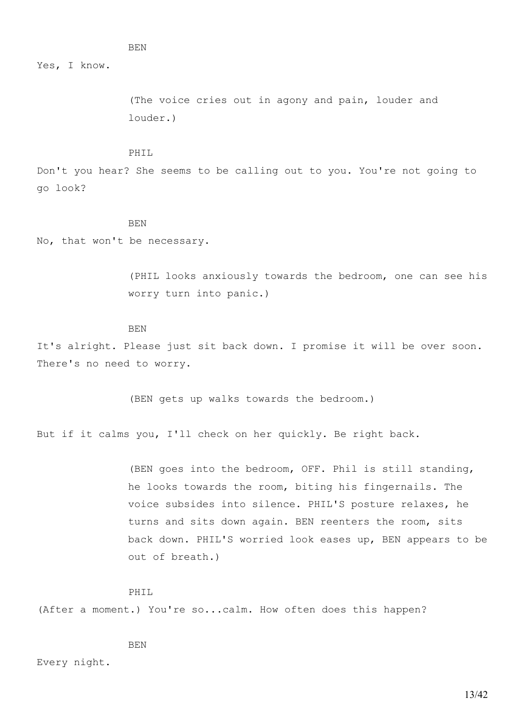Yes, I know.

(The voice cries out in agony and pain, louder and louder.)

### PHIL

Don't you hear? She seems to be calling out to you. You're not going to go look?

### **BEN**

No, that won't be necessary.

(PHIL looks anxiously towards the bedroom, one can see his worry turn into panic.)

#### BEN

It's alright. Please just sit back down. I promise it will be over soon. There's no need to worry.

(BEN gets up walks towards the bedroom.)

But if it calms you, I'll check on her quickly. Be right back.

(BEN goes into the bedroom, OFF. Phil is still standing, he looks towards the room, biting his fingernails. The voice subsides into silence. PHIL'S posture relaxes, he turns and sits down again. BEN reenters the room, sits back down. PHIL'S worried look eases up, BEN appears to be out of breath.)

PHIL

(After a moment.) You're so...calm. How often does this happen?

BEN

Every night.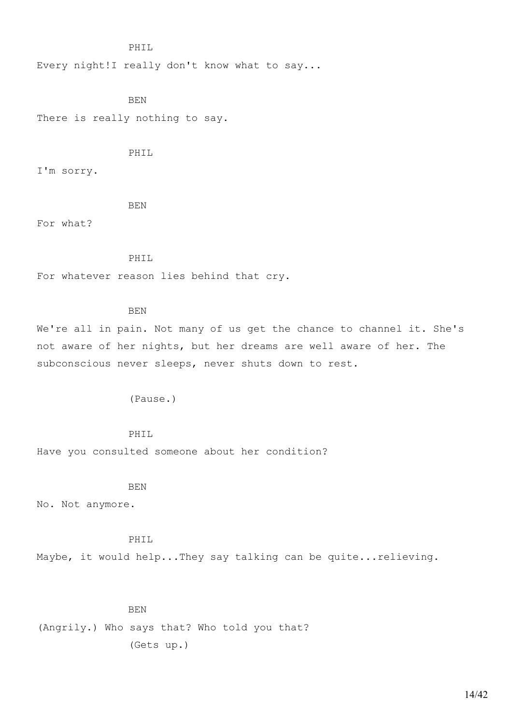### PHIL

Every night!I really don't know what to say...

BEN There is really nothing to say.

PHIL

I'm sorry.

**BEN** 

For what?

PHIL

For whatever reason lies behind that cry.

#### BEN

We're all in pain. Not many of us get the chance to channel it. She's not aware of her nights, but her dreams are well aware of her. The subconscious never sleeps, never shuts down to rest.

(Pause.)

## PHIL

Have you consulted someone about her condition?

#### BEN

No. Not anymore.

# PHIL

Maybe, it would help...They say talking can be quite...relieving.

### BEN

(Angrily.) Who says that? Who told you that? (Gets up.)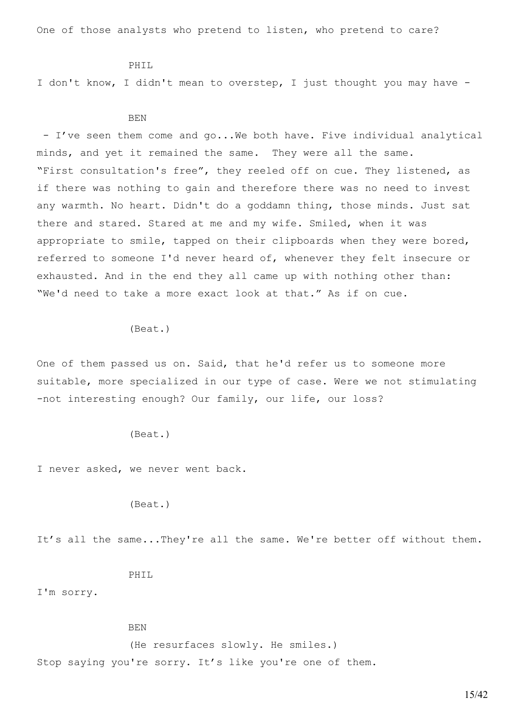One of those analysts who pretend to listen, who pretend to care?

#### PHIL

I don't know, I didn't mean to overstep, I just thought you may have -

### BEN

- I've seen them come and go...We both have. Five individual analytical minds, and yet it remained the same. They were all the same. "First consultation's free", they reeled off on cue. They listened, as if there was nothing to gain and therefore there was no need to invest any warmth. No heart. Didn't do a goddamn thing, those minds. Just sat there and stared. Stared at me and my wife. Smiled, when it was appropriate to smile, tapped on their clipboards when they were bored, referred to someone I'd never heard of, whenever they felt insecure or exhausted. And in the end they all came up with nothing other than: "We'd need to take a more exact look at that." As if on cue.

(Beat.)

One of them passed us on. Said, that he'd refer us to someone more suitable, more specialized in our type of case. Were we not stimulating -not interesting enough? Our family, our life, our loss?

(Beat.)

I never asked, we never went back.

(Beat.)

It's all the same...They're all the same. We're better off without them.

#### PHIL

I'm sorry.

BEN

(He resurfaces slowly. He smiles.) Stop saying you're sorry. It's like you're one of them.

15/42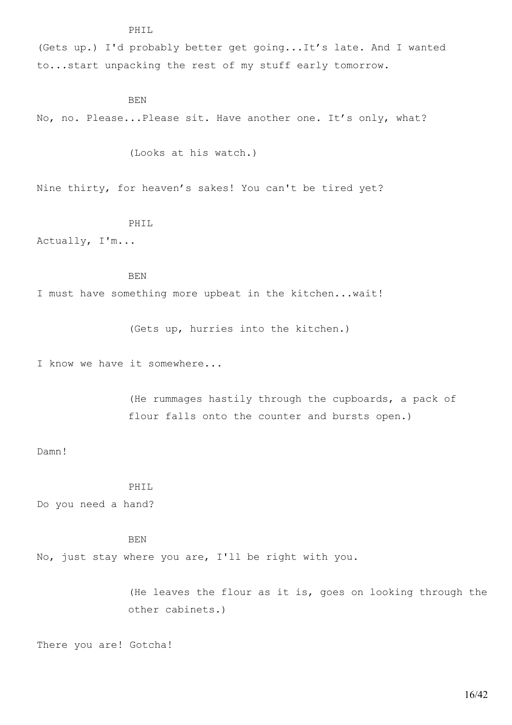(Gets up.) I'd probably better get going...It's late. And I wanted to...start unpacking the rest of my stuff early tomorrow.

BEN

PHIL

No, no. Please...Please sit. Have another one. It's only, what?

(Looks at his watch.)

Nine thirty, for heaven's sakes! You can't be tired yet?

PHIL

Actually, I'm...

BEN

I must have something more upbeat in the kitchen...wait!

(Gets up, hurries into the kitchen.)

I know we have it somewhere...

(He rummages hastily through the cupboards, a pack of flour falls onto the counter and bursts open.)

Damn!

# PHIL

Do you need a hand?

BEN No, just stay where you are, I'll be right with you.

> (He leaves the flour as it is, goes on looking through the other cabinets.)

There you are! Gotcha!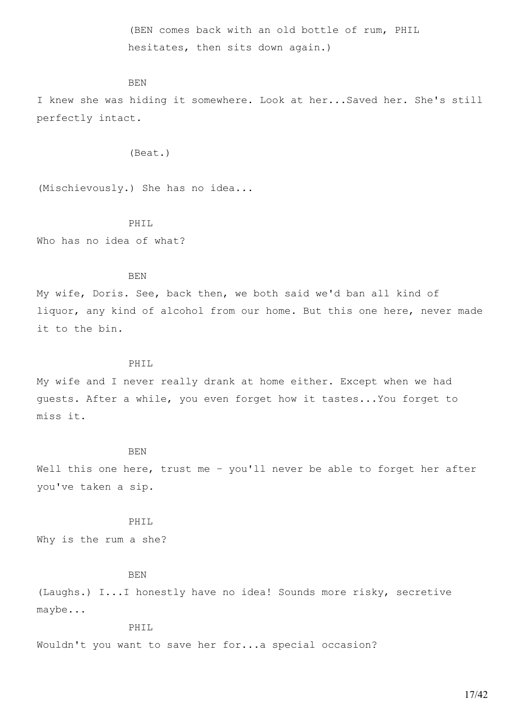(BEN comes back with an old bottle of rum, PHIL hesitates, then sits down again.)

### BEN

I knew she was hiding it somewhere. Look at her...Saved her. She's still perfectly intact.

(Beat.)

(Mischievously.) She has no idea...

PHIL Who has no idea of what?

### BEN

My wife, Doris. See, back then, we both said we'd ban all kind of liquor, any kind of alcohol from our home. But this one here, never made it to the bin.

### PHIL

My wife and I never really drank at home either. Except when we had guests. After a while, you even forget how it tastes...You forget to miss it.

### BEN

Well this one here, trust me - you'll never be able to forget her after you've taken a sip.

PHIL

Why is the rum a she?

### BEN

(Laughs.) I...I honestly have no idea! Sounds more risky, secretive maybe...

### PHIL

Wouldn't you want to save her for...a special occasion?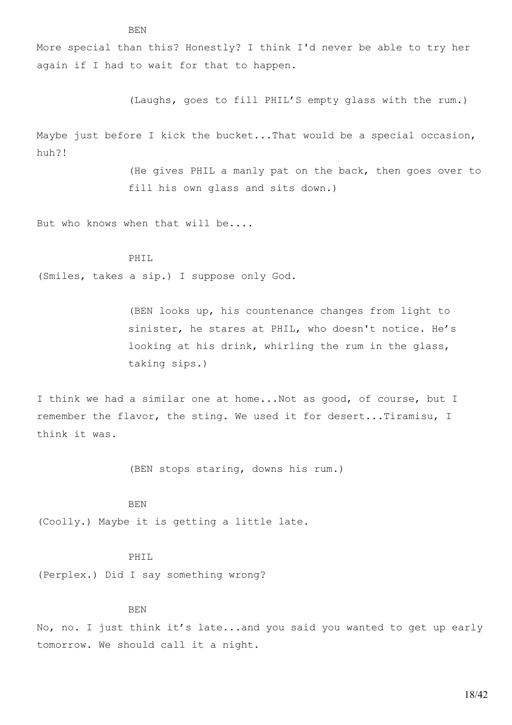More special than this? Honestly? I think I'd never be able to try her again if I had to wait for that to happen.

(Laughs, goes to fill PHIL'S empty glass with the rum.)

Maybe just before I kick the bucket...That would be a special occasion, huh?!

> (He gives PHIL a manly pat on the back, then goes over to fill his own glass and sits down.)

But who knows when that will be....

#### PHIL

(Smiles, takes a sip.) I suppose only God.

(BEN looks up, his countenance changes from light to sinister, he stares at PHIL, who doesn't notice. He's looking at his drink, whirling the rum in the glass, taking sips.)

I think we had a similar one at home...Not as good, of course, but I remember the flavor, the sting. We used it for desert...Tiramisu, I think it was.

(BEN stops staring, downs his rum.)

#### BEN

(Coolly.) Maybe it is getting a little late.

### PHIL

(Perplex.) Did I say something wrong?

#### BEN

No, no. I just think it's late...and you said you wanted to get up early tomorrow. We should call it a night.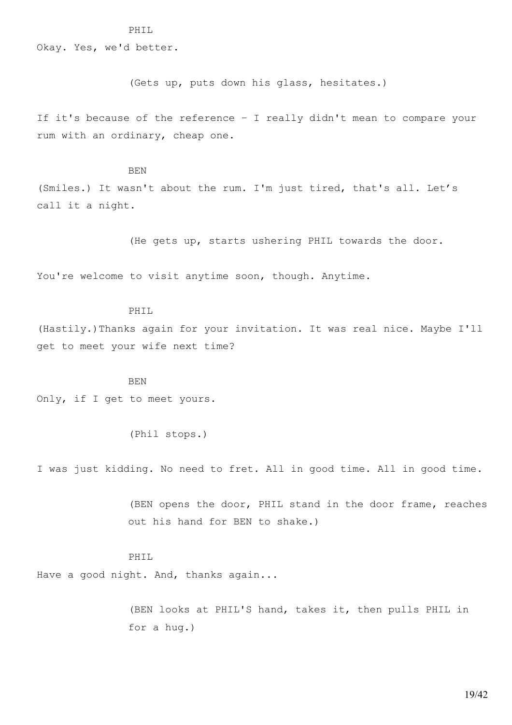#### PHIL

Okay. Yes, we'd better.

(Gets up, puts down his glass, hesitates.)

If it's because of the reference – I really didn't mean to compare your rum with an ordinary, cheap one.

#### BEN

(Smiles.) It wasn't about the rum. I'm just tired, that's all. Let's call it a night.

(He gets up, starts ushering PHIL towards the door.

You're welcome to visit anytime soon, though. Anytime.

### PHIL

(Hastily.)Thanks again for your invitation. It was real nice. Maybe I'll get to meet your wife next time?

#### BEN

Only, if I get to meet yours.

(Phil stops.)

I was just kidding. No need to fret. All in good time. All in good time.

(BEN opens the door, PHIL stand in the door frame, reaches out his hand for BEN to shake.)

### PHIL

Have a good night. And, thanks again...

(BEN looks at PHIL'S hand, takes it, then pulls PHIL in for a hug.)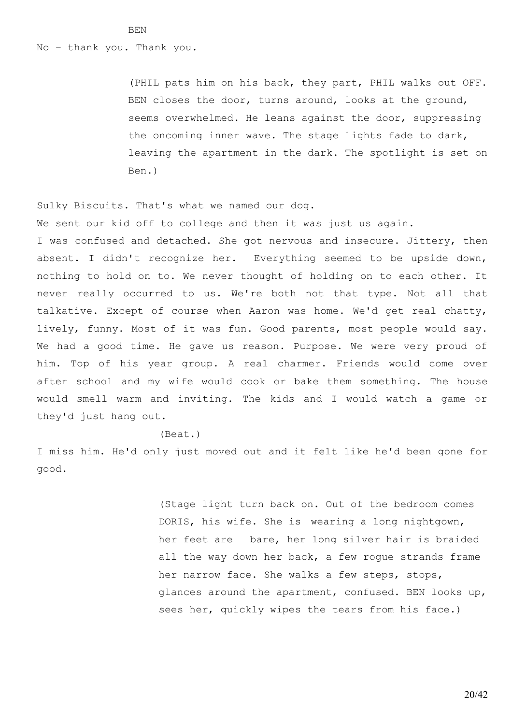No – thank you. Thank you.

(PHIL pats him on his back, they part, PHIL walks out OFF. BEN closes the door, turns around, looks at the ground, seems overwhelmed. He leans against the door, suppressing the oncoming inner wave. The stage lights fade to dark, leaving the apartment in the dark. The spotlight is set on Ben.)

Sulky Biscuits. That's what we named our dog.

We sent our kid off to college and then it was just us again. I was confused and detached. She got nervous and insecure. Jittery, then absent. I didn't recognize her. Everything seemed to be upside down, nothing to hold on to. We never thought of holding on to each other. It never really occurred to us. We're both not that type. Not all that talkative. Except of course when Aaron was home. We'd get real chatty, lively, funny. Most of it was fun. Good parents, most people would say. We had a good time. He gave us reason. Purpose. We were very proud of him. Top of his year group. A real charmer. Friends would come over after school and my wife would cook or bake them something. The house would smell warm and inviting. The kids and I would watch a game or they'd just hang out.

(Beat.)

I miss him. He'd only just moved out and it felt like he'd been gone for good.

> (Stage light turn back on. Out of the bedroom comes DORIS, his wife. She is wearing a long nightgown, her feet are bare, her long silver hair is braided all the way down her back, a few rogue strands frame her narrow face. She walks a few steps, stops, glances around the apartment, confused. BEN looks up, sees her, quickly wipes the tears from his face.)

> > 20/42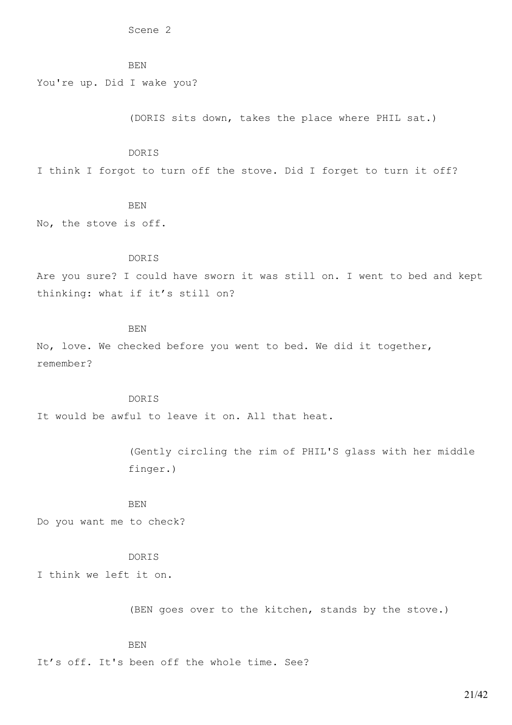Scene 2

```
BEN
```
You're up. Did I wake you?

(DORIS sits down, takes the place where PHIL sat.)

### DORIS

I think I forgot to turn off the stove. Did I forget to turn it off?

**BEN** 

No, the stove is off.

### DORIS

Are you sure? I could have sworn it was still on. I went to bed and kept thinking: what if it's still on?

#### BEN

No, love. We checked before you went to bed. We did it together, remember?

### DORIS

It would be awful to leave it on. All that heat.

(Gently circling the rim of PHIL'S glass with her middle finger.)

BEN

Do you want me to check?

### **DORTS**

I think we left it on.

(BEN goes over to the kitchen, stands by the stove.)

BEN It's off. It's been off the whole time. See?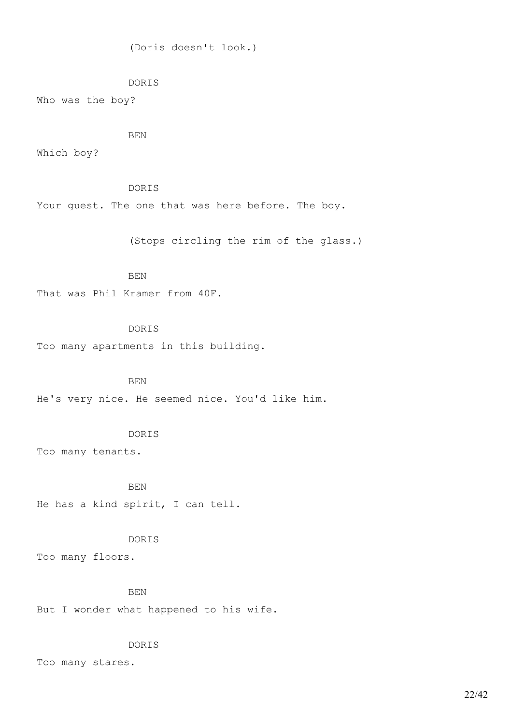(Doris doesn't look.)

# DORIS

Who was the boy?

#### BEN

Which boy?

### DORIS

Your quest. The one that was here before. The boy.

(Stops circling the rim of the glass.)

# BEN

That was Phil Kramer from 40F.

# DORIS

Too many apartments in this building.

# BEN

He's very nice. He seemed nice. You'd like him.

# DORIS

Too many tenants.

# BEN

He has a kind spirit, I can tell.

## DORIS

Too many floors.

#### BEN

But I wonder what happened to his wife.

### DORIS

Too many stares.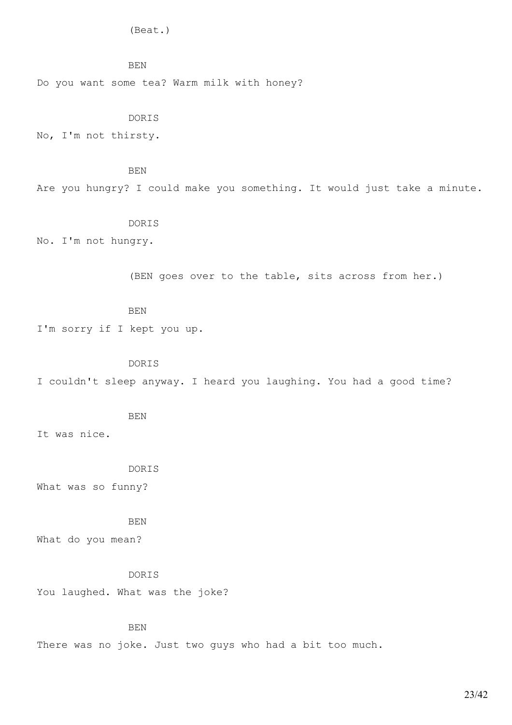(Beat.)

BEN Do you want some tea? Warm milk with honey?

DORIS

No, I'm not thirsty.

BEN

Are you hungry? I could make you something. It would just take a minute.

DORIS

No. I'm not hungry.

(BEN goes over to the table, sits across from her.)

BEN I'm sorry if I kept you up.

# DORIS

I couldn't sleep anyway. I heard you laughing. You had a good time?

BEN

It was nice.

DORIS

What was so funny?

BEN

What do you mean?

DORIS

You laughed. What was the joke?

BEN

There was no joke. Just two guys who had a bit too much.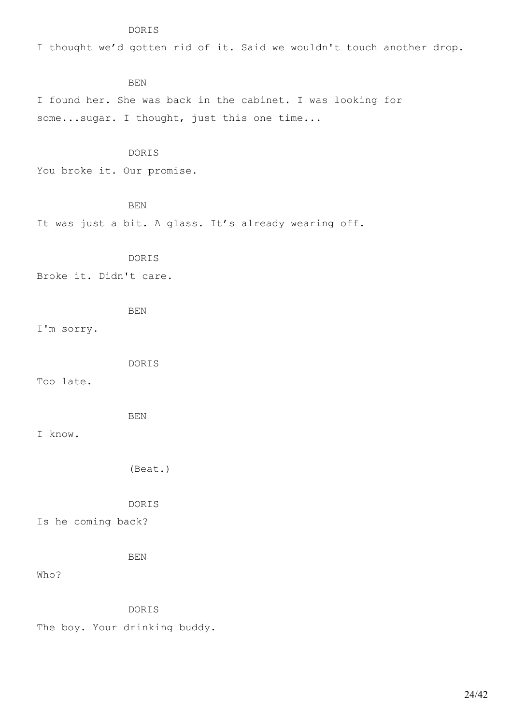### DORIS

I thought we'd gotten rid of it. Said we wouldn't touch another drop.

### BEN

I found her. She was back in the cabinet. I was looking for some...sugar. I thought, just this one time...

# DORIS

You broke it. Our promise.

### **BEN**

It was just a bit. A glass. It's already wearing off.

DORIS

Broke it. Didn't care.

BEN

I'm sorry.

DORIS

Too late.

BEN

## I know.

(Beat.)

DORIS

Is he coming back?

BEN

Who?

# DORIS

The boy. Your drinking buddy.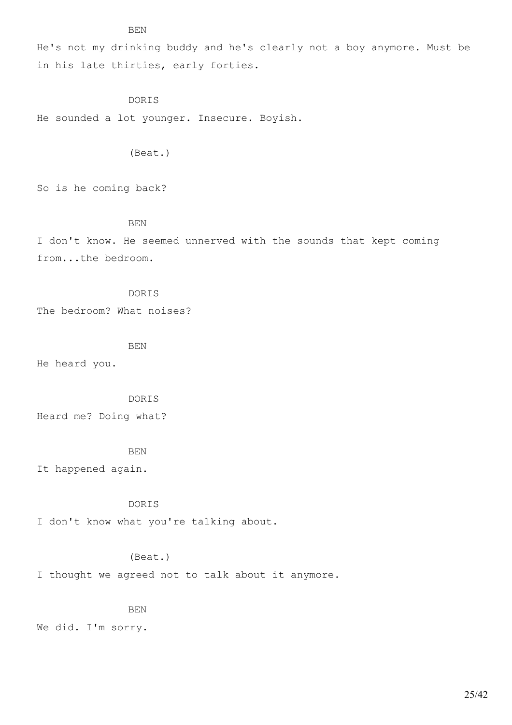He's not my drinking buddy and he's clearly not a boy anymore. Must be in his late thirties, early forties.

# DORIS

He sounded a lot younger. Insecure. Boyish.

(Beat.)

So is he coming back?

### BEN

I don't know. He seemed unnerved with the sounds that kept coming from...the bedroom.

# DORIS

The bedroom? What noises?

**BEN** 

He heard you.

DORIS

Heard me? Doing what?

#### BEN

It happened again.

# DORIS

I don't know what you're talking about.

# (Beat.)

I thought we agreed not to talk about it anymore.

### BEN

We did. I'm sorry.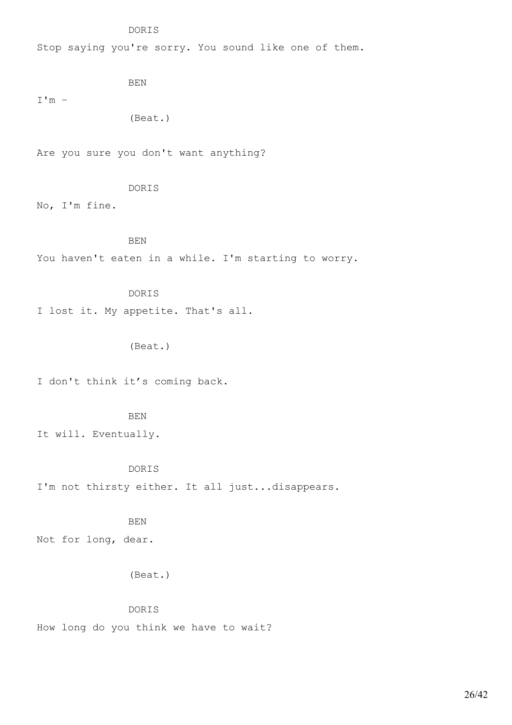DORIS

Stop saying you're sorry. You sound like one of them.

BEN

 $I'm -$ 

(Beat.)

Are you sure you don't want anything?

# DORIS

No, I'm fine.

# BEN

You haven't eaten in a while. I'm starting to worry.

## DORIS

I lost it. My appetite. That's all.

(Beat.)

I don't think it's coming back.

# BEN

It will. Eventually.

### DORIS

I'm not thirsty either. It all just...disappears.

#### BEN

Not for long, dear.

# (Beat.)

## DORIS

How long do you think we have to wait?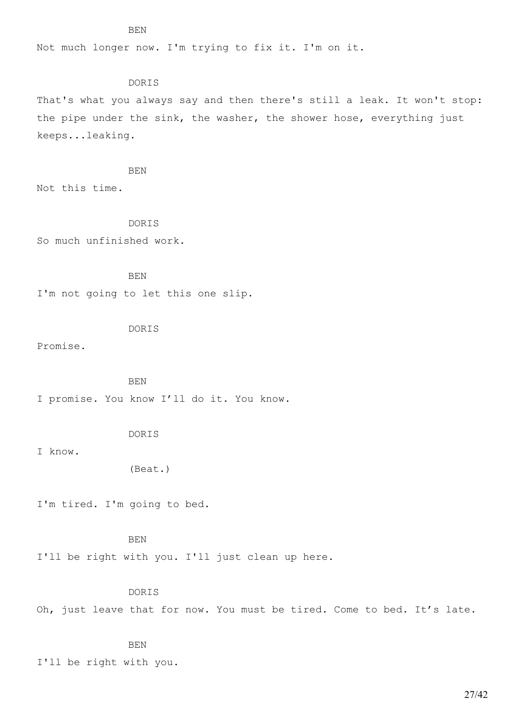Not much longer now. I'm trying to fix it. I'm on it.

### **DORTS**

That's what you always say and then there's still a leak. It won't stop: the pipe under the sink, the washer, the shower hose, everything just keeps...leaking.

#### BEN

Not this time.

### **DORTS**

So much unfinished work.

## BEN

I'm not going to let this one slip.

#### DORIS

Promise.

### BEN

I promise. You know I'll do it. You know.

#### DORIS

I know.

(Beat.)

I'm tired. I'm going to bed.

BEN I'll be right with you. I'll just clean up here.

### DORIS

Oh, just leave that for now. You must be tired. Come to bed. It's late.

# BEN

I'll be right with you.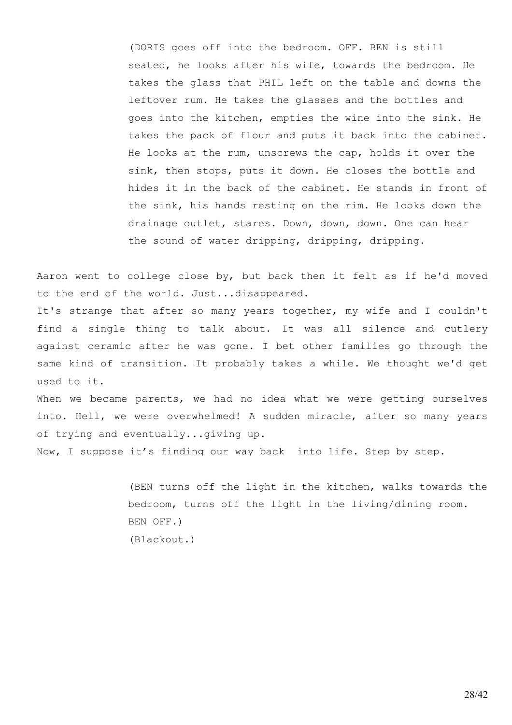(DORIS goes off into the bedroom. OFF. BEN is still seated, he looks after his wife, towards the bedroom. He takes the glass that PHIL left on the table and downs the leftover rum. He takes the glasses and the bottles and goes into the kitchen, empties the wine into the sink. He takes the pack of flour and puts it back into the cabinet. He looks at the rum, unscrews the cap, holds it over the sink, then stops, puts it down. He closes the bottle and hides it in the back of the cabinet. He stands in front of the sink, his hands resting on the rim. He looks down the drainage outlet, stares. Down, down, down. One can hear the sound of water dripping, dripping, dripping.

Aaron went to college close by, but back then it felt as if he'd moved to the end of the world. Just...disappeared.

It's strange that after so many years together, my wife and I couldn't find a single thing to talk about. It was all silence and cutlery against ceramic after he was gone. I bet other families go through the same kind of transition. It probably takes a while. We thought we'd get used to it.

When we became parents, we had no idea what we were getting ourselves into. Hell, we were overwhelmed! A sudden miracle, after so many years of trying and eventually...giving up.

Now, I suppose it's finding our way back into life. Step by step.

(BEN turns off the light in the kitchen, walks towards the bedroom, turns off the light in the living/dining room. BEN OFF.) (Blackout.)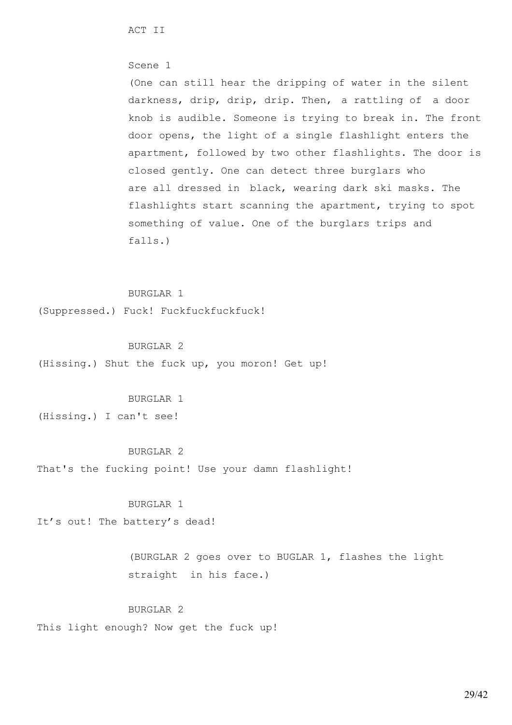ACT II

#### Scene 1

(One can still hear the dripping of water in the silent darkness, drip, drip, drip. Then, a rattling of a door knob is audible. Someone is trying to break in. The front door opens, the light of a single flashlight enters the apartment, followed by two other flashlights. The door is closed gently. One can detect three burglars who are all dressed in black, wearing dark ski masks. The flashlights start scanning the apartment, trying to spot something of value. One of the burglars trips and falls.)

### BURGLAR 1

(Suppressed.) Fuck! Fuckfuckfuckfuck!

## BURGLAR 2

(Hissing.) Shut the fuck up, you moron! Get up!

#### BURGLAR 1

(Hissing.) I can't see!

### BURGLAR 2

That's the fucking point! Use your damn flashlight!

# BURGLAR 1

It's out! The battery's dead!

(BURGLAR 2 goes over to BUGLAR 1, flashes the light straight in his face.)

### BURGLAR 2

This light enough? Now get the fuck up!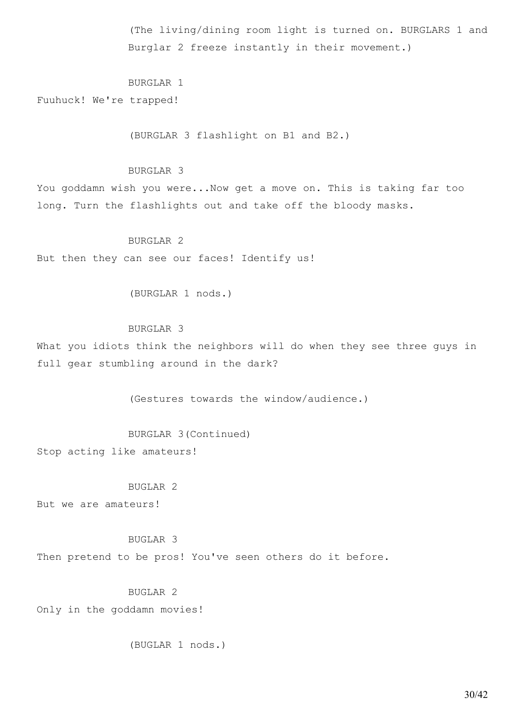(The living/dining room light is turned on. BURGLARS 1 and Burglar 2 freeze instantly in their movement.)

# BURGLAR 1

Fuuhuck! We're trapped!

(BURGLAR 3 flashlight on B1 and B2.)

## BURGLAR 3

You goddamn wish you were...Now get a move on. This is taking far too long. Turn the flashlights out and take off the bloody masks.

### BURGLAR 2

But then they can see our faces! Identify us!

(BURGLAR 1 nods.)

# BURGLAR 3

What you idiots think the neighbors will do when they see three guys in full gear stumbling around in the dark?

(Gestures towards the window/audience.)

#### BURGLAR 3(Continued)

Stop acting like amateurs!

# BUGLAR 2

But we are amateurs!

### BUGLAR 3

Then pretend to be pros! You've seen others do it before.

# BUGLAR 2

Only in the goddamn movies!

(BUGLAR 1 nods.)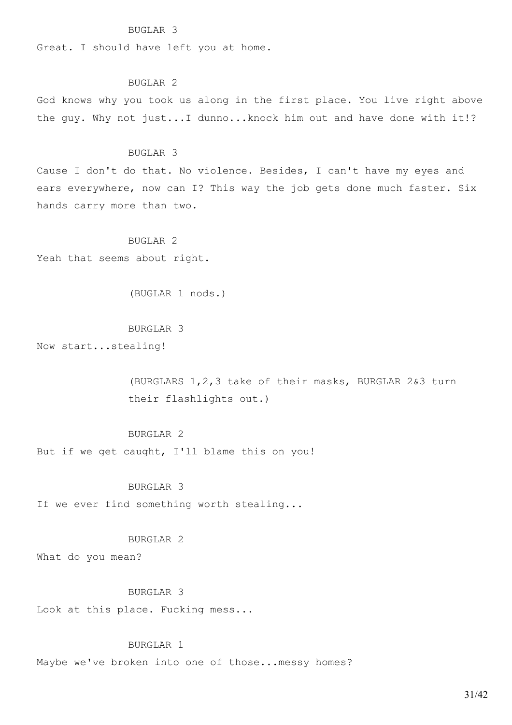#### BUGLAR 3

Great. I should have left you at home.

### BUGLAR 2

God knows why you took us along in the first place. You live right above the guy. Why not just...I dunno...knock him out and have done with it!?

#### BUGLAR 3

Cause I don't do that. No violence. Besides, I can't have my eyes and ears everywhere, now can I? This way the job gets done much faster. Six hands carry more than two.

### BUGLAR 2

Yeah that seems about right.

(BUGLAR 1 nods.)

# BURGLAR 3

Now start...stealing!

(BURGLARS 1,2,3 take of their masks, BURGLAR 2&3 turn their flashlights out.)

# BURGLAR 2

But if we get caught, I'll blame this on you!

# BURGLAR 3

If we ever find something worth stealing...

### BURGLAR 2

What do you mean?

### BURGLAR 3

Look at this place. Fucking mess...

# BURGLAR 1

Maybe we've broken into one of those...messy homes?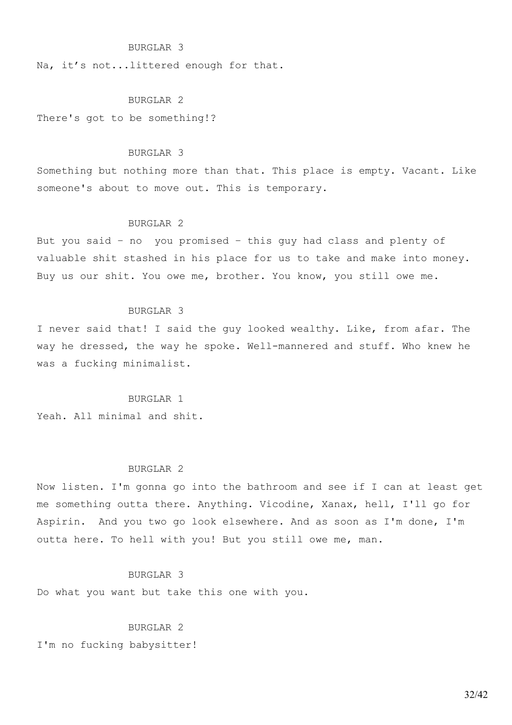### BURGLAR 3

Na, it's not...littered enough for that.

# BURGLAR 2

There's got to be something!?

#### BURGLAR 3

Something but nothing more than that. This place is empty. Vacant. Like someone's about to move out. This is temporary.

### BURGLAR 2

But you said – no you promised – this guy had class and plenty of valuable shit stashed in his place for us to take and make into money. Buy us our shit. You owe me, brother. You know, you still owe me.

### BURGLAR 3

I never said that! I said the guy looked wealthy. Like, from afar. The way he dressed, the way he spoke. Well-mannered and stuff. Who knew he was a fucking minimalist.

### BURGLAR 1

Yeah. All minimal and shit.

### BURGLAR 2

Now listen. I'm gonna go into the bathroom and see if I can at least get me something outta there. Anything. Vicodine, Xanax, hell, I'll go for Aspirin. And you two go look elsewhere. And as soon as I'm done, I'm outta here. To hell with you! But you still owe me, man.

### BURGLAR 3

Do what you want but take this one with you.

### BURGLAR 2

I'm no fucking babysitter!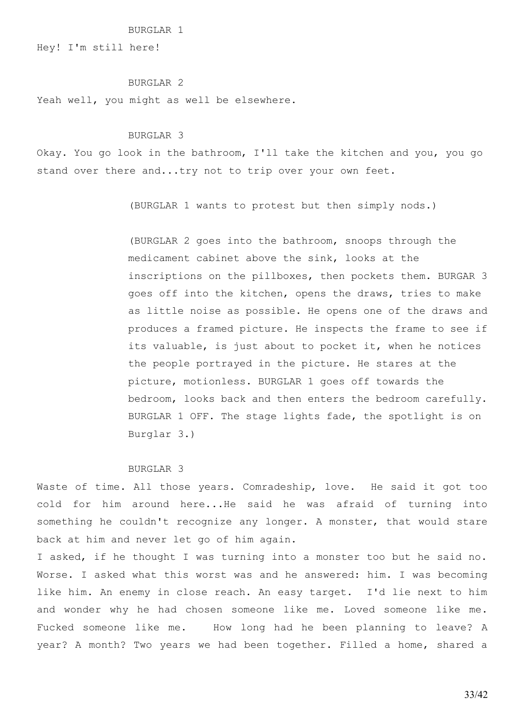#### BURGLAR 1

Hey! I'm still here!

### BURGLAR 2

Yeah well, you might as well be elsewhere.

#### BURGLAR 3

Okay. You go look in the bathroom, I'll take the kitchen and you, you go stand over there and...try not to trip over your own feet.

(BURGLAR 1 wants to protest but then simply nods.)

(BURGLAR 2 goes into the bathroom, snoops through the medicament cabinet above the sink, looks at the inscriptions on the pillboxes, then pockets them. BURGAR 3 goes off into the kitchen, opens the draws, tries to make as little noise as possible. He opens one of the draws and produces a framed picture. He inspects the frame to see if its valuable, is just about to pocket it, when he notices the people portrayed in the picture. He stares at the picture, motionless. BURGLAR 1 goes off towards the bedroom, looks back and then enters the bedroom carefully. BURGLAR 1 OFF. The stage lights fade, the spotlight is on Burglar 3.)

#### BURGLAR 3

Waste of time. All those years. Comradeship, love. He said it got too cold for him around here...He said he was afraid of turning into something he couldn't recognize any longer. A monster, that would stare back at him and never let go of him again.

I asked, if he thought I was turning into a monster too but he said no. Worse. I asked what this worst was and he answered: him. I was becoming like him. An enemy in close reach. An easy target. I'd lie next to him and wonder why he had chosen someone like me. Loved someone like me. Fucked someone like me. How long had he been planning to leave? A year? A month? Two years we had been together. Filled a home, shared a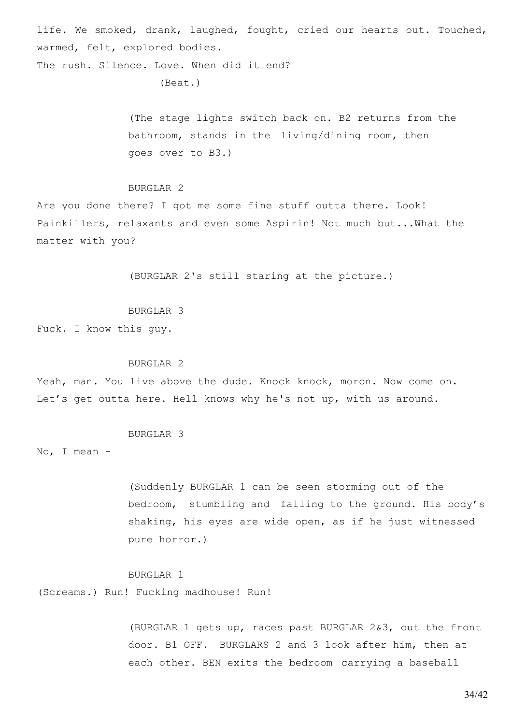life. We smoked, drank, laughed, fought, cried our hearts out. Touched, warmed, felt, explored bodies.

The rush. Silence. Love. When did it end? (Beat.)

> (The stage lights switch back on. B2 returns from the bathroom, stands in the living/dining room, then goes over to B3.)

### BURGLAR 2

Are you done there? I got me some fine stuff outta there. Look! Painkillers, relaxants and even some Aspirin! Not much but...What the matter with you?

(BURGLAR 2's still staring at the picture.)

#### BURGLAR 3

Fuck. I know this guy.

### BURGLAR 2

Yeah, man. You live above the dude. Knock knock, moron. Now come on. Let's get outta here. Hell knows why he's not up, with us around.

#### BURGLAR 3

No, I mean -

(Suddenly BURGLAR 1 can be seen storming out of the bedroom, stumbling and falling to the ground. His body's shaking, his eyes are wide open, as if he just witnessed pure horror.)

### BURGLAR 1

(Screams.) Run! Fucking madhouse! Run!

(BURGLAR 1 gets up, races past BURGLAR 2&3, out the front door. B1 OFF. BURGLARS 2 and 3 look after him, then at each other. BEN exits the bedroom carrying a baseball

34/42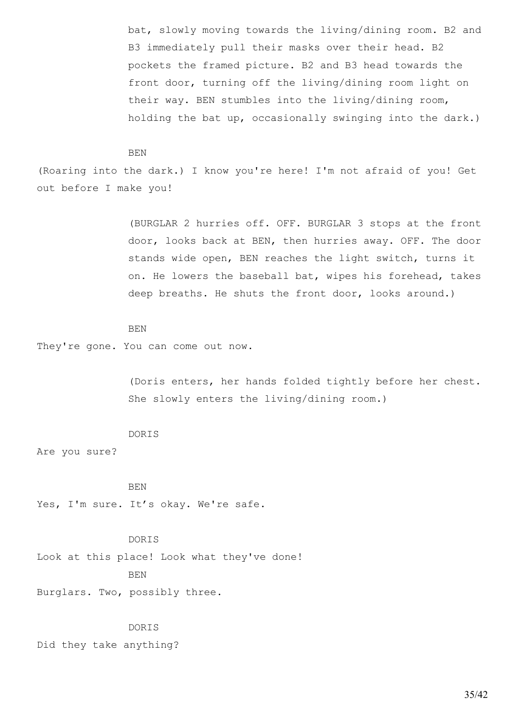bat, slowly moving towards the living/dining room. B2 and B3 immediately pull their masks over their head. B2 pockets the framed picture. B2 and B3 head towards the front door, turning off the living/dining room light on their way. BEN stumbles into the living/dining room, holding the bat up, occasionally swinging into the dark.)

#### BEN

(Roaring into the dark.) I know you're here! I'm not afraid of you! Get out before I make you!

> (BURGLAR 2 hurries off. OFF. BURGLAR 3 stops at the front door, looks back at BEN, then hurries away. OFF. The door stands wide open, BEN reaches the light switch, turns it on. He lowers the baseball bat, wipes his forehead, takes deep breaths. He shuts the front door, looks around.)

#### BEN

They're gone. You can come out now.

(Doris enters, her hands folded tightly before her chest. She slowly enters the living/dining room.)

#### DORIS

Are you sure?

#### BEN

Yes, I'm sure. It's okay. We're safe.

DORIS Look at this place! Look what they've done! BEN Burglars. Two, possibly three.

# DORIS Did they take anything?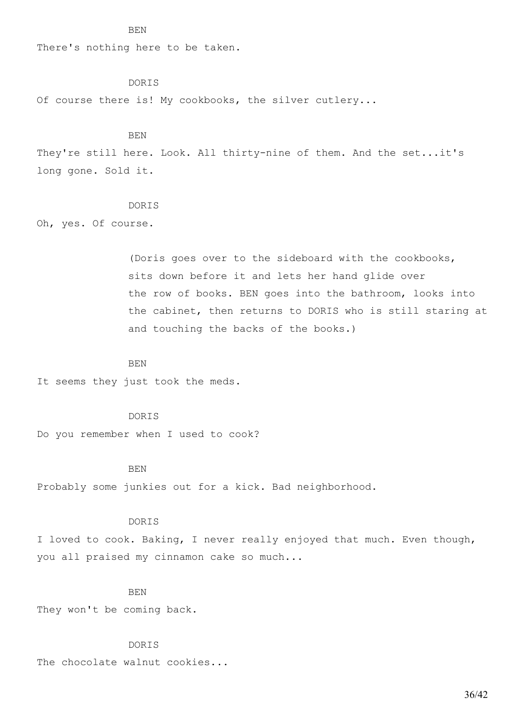There's nothing here to be taken.

# **DORTS**

Of course there is! My cookbooks, the silver cutlery...

#### **BEN**

They're still here. Look. All thirty-nine of them. And the set...it's long gone. Sold it.

### **DORTS**

Oh, yes. Of course.

(Doris goes over to the sideboard with the cookbooks, sits down before it and lets her hand glide over the row of books. BEN goes into the bathroom, looks into the cabinet, then returns to DORIS who is still staring at and touching the backs of the books.)

### BEN

It seems they just took the meds.

DORIS

Do you remember when I used to cook?

#### BEN

Probably some junkies out for a kick. Bad neighborhood.

### DORIS

I loved to cook. Baking, I never really enjoyed that much. Even though, you all praised my cinnamon cake so much...

### BEN

They won't be coming back.

### DORIS

The chocolate walnut cookies...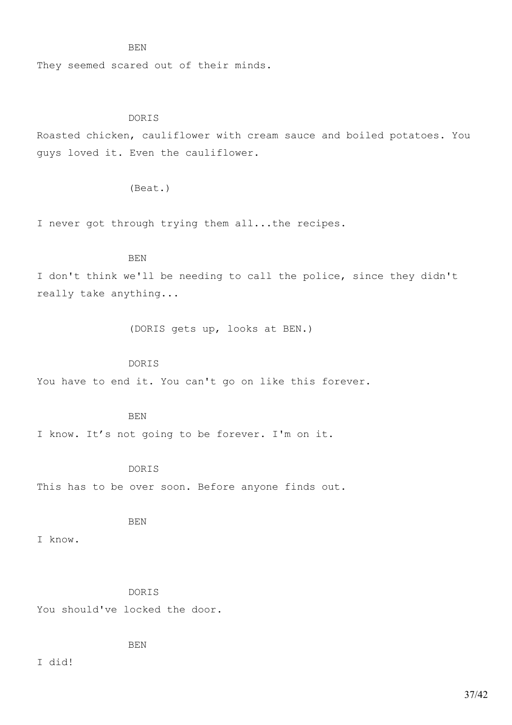They seemed scared out of their minds.

### DORIS

Roasted chicken, cauliflower with cream sauce and boiled potatoes. You guys loved it. Even the cauliflower.

### (Beat.)

I never got through trying them all...the recipes.

### BEN

I don't think we'll be needing to call the police, since they didn't really take anything...

(DORIS gets up, looks at BEN.)

# DORIS

You have to end it. You can't go on like this forever.

BEN

I know. It's not going to be forever. I'm on it.

### **DORTS**

This has to be over soon. Before anyone finds out.

BEN

I know.

DORIS You should've locked the door.

BEN

I did!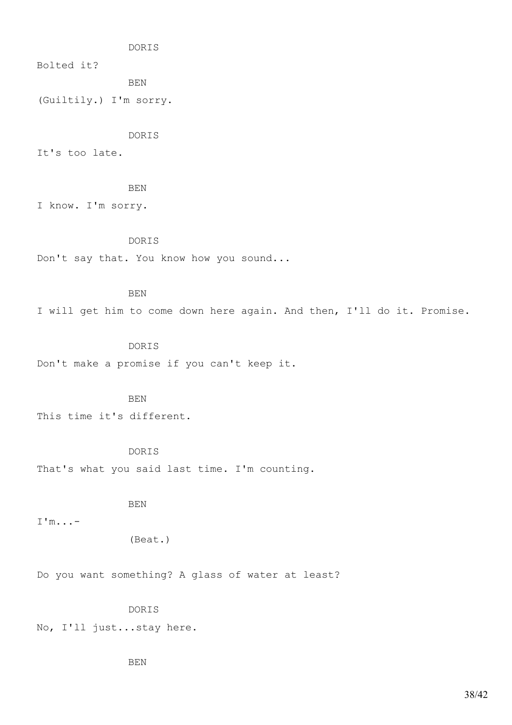DORIS

Bolted it?

BEN

(Guiltily.) I'm sorry.

DORIS

It's too late.

BEN

I know. I'm sorry.

# DORIS

Don't say that. You know how you sound...

# BEN

I will get him to come down here again. And then, I'll do it. Promise.

## DORIS

Don't make a promise if you can't keep it.

BEN

This time it's different.

DORIS

That's what you said last time. I'm counting.

BEN

I'm...-

(Beat.)

Do you want something? A glass of water at least?

DORIS

No, I'll just...stay here.

BEN